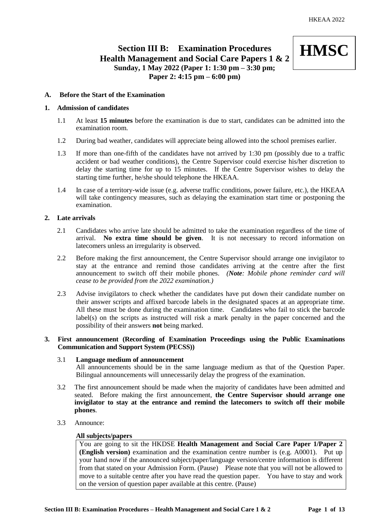# **Section III B: Examination Procedures Health Management and Social Care Papers 1 & 2 Sunday, 1 May 2022 (Paper 1: 1:30 pm – 3:30 pm; Paper 2: 4:15 pm – 6:00 pm)**



# **A. Before the Start of the Examination**

### **1. Admission of candidates**

- 1.1 At least **15 minutes** before the examination is due to start, candidates can be admitted into the examination room.
- 1.2 During bad weather, candidates will appreciate being allowed into the school premises earlier.
- 1.3 If more than one-fifth of the candidates have not arrived by 1:30 pm (possibly due to a traffic accident or bad weather conditions), the Centre Supervisor could exercise his/her discretion to delay the starting time for up to 15 minutes. If the Centre Supervisor wishes to delay the starting time further, he/she should telephone the HKEAA.
- 1.4 In case of a territory-wide issue (e.g. adverse traffic conditions, power failure, etc.), the HKEAA will take contingency measures, such as delaying the examination start time or postponing the examination.

# **2. Late arrivals**

- 2.1 Candidates who arrive late should be admitted to take the examination regardless of the time of arrival. **No extra time should be given**. It is not necessary to record information on latecomers unless an irregularity is observed.
- 2.2 Before making the first announcement, the Centre Supervisor should arrange one invigilator to stay at the entrance and remind those candidates arriving at the centre after the first announcement to switch off their mobile phones. *(Note: Mobile phone reminder card will cease to be provided from the 2022 examination.)*
- 2.3 Advise invigilators to check whether the candidates have put down their candidate number on their answer scripts and affixed barcode labels in the designated spaces at an appropriate time. All these must be done during the examination time. Candidates who fail to stick the barcode label(s) on the scripts as instructed will risk a mark penalty in the paper concerned and the possibility of their answers **not** being marked.

# **3. First announcement (Recording of Examination Proceedings using the Public Examinations Communication and Support System (PECSS))**

# 3.1 **Language medium of announcement**

All announcements should be in the same language medium as that of the Question Paper. Bilingual announcements will unnecessarily delay the progress of the examination.

- 3.2 The first announcement should be made when the majority of candidates have been admitted and seated. Before making the first announcement, **the Centre Supervisor should arrange one invigilator to stay at the entrance and remind the latecomers to switch off their mobile phones**.
- 3.3 Announce:

#### **All subjects/papers**

You are going to sit the HKDSE **Health Management and Social Care Paper 1/Paper 2 (English version)** examination and the examination centre number is (e.g. A0001). Put up your hand now if the announced subject/paper/language version/centre information is different from that stated on your Admission Form. (Pause) Please note that you will not be allowed to move to a suitable centre after you have read the question paper. You have to stay and work on the version of question paper available at this centre. (Pause)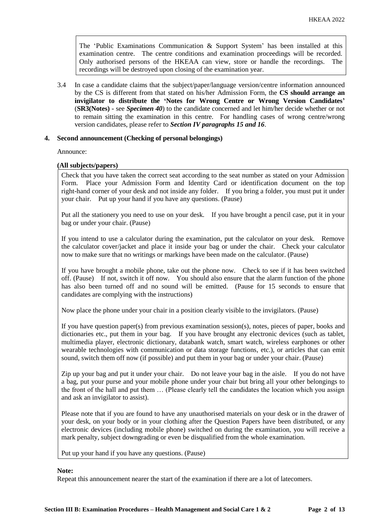The 'Public Examinations Communication & Support System' has been installed at this examination centre. The centre conditions and examination proceedings will be recorded. Only authorised persons of the HKEAA can view, store or handle the recordings. The recordings will be destroyed upon closing of the examination year.

3.4 In case a candidate claims that the subject/paper/language version/centre information announced by the CS is different from that stated on his/her Admission Form, the **CS should arrange an invigilator to distribute the 'Notes for Wrong Centre or Wrong Version Candidates'** (**SR3(Notes) -** see *Specimen 40*) to the candidate concerned and let him/her decide whether or not to remain sitting the examination in this centre. For handling cases of wrong centre/wrong version candidates, please refer to *Section IV paragraphs 15 and 16*.

### **4. Second announcement (Checking of personal belongings)**

Announce:

### **(All subjects/papers)**

Check that you have taken the correct seat according to the seat number as stated on your Admission Form. Place your Admission Form and Identity Card or identification document on the top right-hand corner of your desk and not inside any folder. If you bring a folder, you must put it under your chair. Put up your hand if you have any questions. (Pause)

Put all the stationery you need to use on your desk. If you have brought a pencil case, put it in your bag or under your chair. (Pause)

If you intend to use a calculator during the examination, put the calculator on your desk. Remove the calculator cover/jacket and place it inside your bag or under the chair. Check your calculator now to make sure that no writings or markings have been made on the calculator. (Pause)

If you have brought a mobile phone, take out the phone now. Check to see if it has been switched off. (Pause) If not, switch it off now. You should also ensure that the alarm function of the phone has also been turned off and no sound will be emitted. (Pause for 15 seconds to ensure that candidates are complying with the instructions)

Now place the phone under your chair in a position clearly visible to the invigilators. (Pause)

If you have question paper(s) from previous examination session(s), notes, pieces of paper, books and dictionaries etc., put them in your bag. If you have brought any electronic devices (such as tablet, multimedia player, electronic dictionary, databank watch, smart watch, wireless earphones or other wearable technologies with communication or data storage functions, etc.), or articles that can emit sound, switch them off now (if possible) and put them in your bag or under your chair. (Pause)

Zip up your bag and put it under your chair. Do not leave your bag in the aisle. If you do not have a bag, put your purse and your mobile phone under your chair but bring all your other belongings to the front of the hall and put them … (Please clearly tell the candidates the location which you assign and ask an invigilator to assist).

Please note that if you are found to have any unauthorised materials on your desk or in the drawer of your desk, on your body or in your clothing after the Question Papers have been distributed, or any electronic devices (including mobile phone) switched on during the examination, you will receive a mark penalty, subject downgrading or even be disqualified from the whole examination.

Put up your hand if you have any questions. (Pause)

#### **Note:**

Repeat this announcement nearer the start of the examination if there are a lot of latecomers.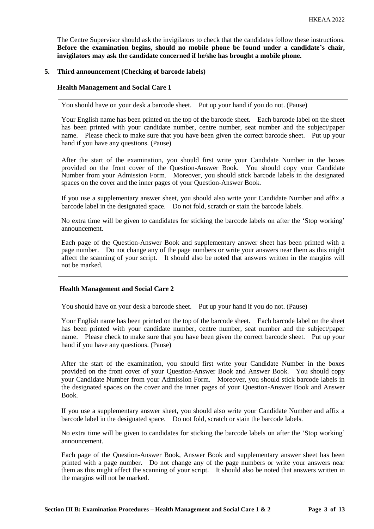The Centre Supervisor should ask the invigilators to check that the candidates follow these instructions. **Before the examination begins, should no mobile phone be found under a candidate's chair, invigilators may ask the candidate concerned if he/she has brought a mobile phone.**

### **5. Third announcement (Checking of barcode labels)**

### **Health Management and Social Care 1**

You should have on your desk a barcode sheet. Put up your hand if you do not. (Pause)

Your English name has been printed on the top of the barcode sheet. Each barcode label on the sheet has been printed with your candidate number, centre number, seat number and the subject/paper name. Please check to make sure that you have been given the correct barcode sheet. Put up your hand if you have any questions. (Pause)

After the start of the examination, you should first write your Candidate Number in the boxes provided on the front cover of the Question-Answer Book. You should copy your Candidate Number from your Admission Form. Moreover, you should stick barcode labels in the designated spaces on the cover and the inner pages of your Question-Answer Book.

If you use a supplementary answer sheet, you should also write your Candidate Number and affix a barcode label in the designated space. Do not fold, scratch or stain the barcode labels.

No extra time will be given to candidates for sticking the barcode labels on after the 'Stop working' announcement.

Each page of the Question-Answer Book and supplementary answer sheet has been printed with a page number. Do not change any of the page numbers or write your answers near them as this might affect the scanning of your script. It should also be noted that answers written in the margins will not be marked.

#### **Health Management and Social Care 2**

You should have on your desk a barcode sheet. Put up your hand if you do not. (Pause)

Your English name has been printed on the top of the barcode sheet. Each barcode label on the sheet has been printed with your candidate number, centre number, seat number and the subject/paper name. Please check to make sure that you have been given the correct barcode sheet. Put up your hand if you have any questions. (Pause)

After the start of the examination, you should first write your Candidate Number in the boxes provided on the front cover of your Question-Answer Book and Answer Book. You should copy your Candidate Number from your Admission Form. Moreover, you should stick barcode labels in the designated spaces on the cover and the inner pages of your Question-Answer Book and Answer Book.

If you use a supplementary answer sheet, you should also write your Candidate Number and affix a barcode label in the designated space. Do not fold, scratch or stain the barcode labels.

No extra time will be given to candidates for sticking the barcode labels on after the 'Stop working' announcement.

Each page of the Question-Answer Book, Answer Book and supplementary answer sheet has been printed with a page number. Do not change any of the page numbers or write your answers near them as this might affect the scanning of your script. It should also be noted that answers written in the margins will not be marked.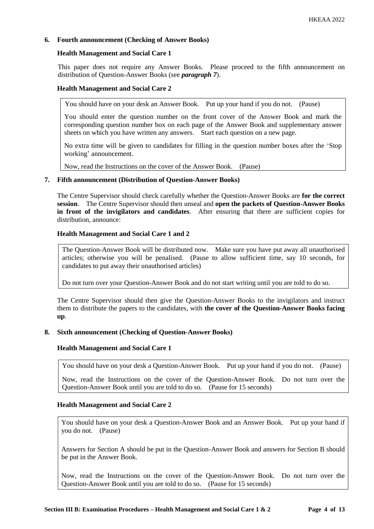# **6. Fourth announcement (Checking of Answer Books)**

### **Health Management and Social Care 1**

This paper does not require any Answer Books. Please proceed to the fifth announcement on distribution of Question-Answer Books (see *paragraph 7*).

#### **Health Management and Social Care 2**

You should have on your desk an Answer Book. Put up your hand if you do not. (Pause)

You should enter the question number on the front cover of the Answer Book and mark the corresponding question number box on each page of the Answer Book and supplementary answer sheets on which you have written any answers. Start each question on a new page.

No extra time will be given to candidates for filling in the question number boxes after the 'Stop working' announcement.

Now, read the Instructions on the cover of the Answer Book. (Pause)

### **7. Fifth announcement (Distribution of Question-Answer Books)**

The Centre Supervisor should check carefully whether the Question-Answer Books are **for the correct session**. The Centre Supervisor should then unseal and **open the packets of Question-Answer Books in front of the invigilators and candidates**. After ensuring that there are sufficient copies for distribution, announce:

### **Health Management and Social Care 1 and 2**

The Question-Answer Book will be distributed now. Make sure you have put away all unauthorised articles; otherwise you will be penalised. (Pause to allow sufficient time, say 10 seconds, for candidates to put away their unauthorised articles)

Do not turn over your Question-Answer Book and do not start writing until you are told to do so.

The Centre Supervisor should then give the Question-Answer Books to the invigilators and instruct them to distribute the papers to the candidates, with **the cover of the Question-Answer Books facing up**.

#### **8. Sixth announcement (Checking of Question-Answer Books)**

#### **Health Management and Social Care 1**

You should have on your desk a Question-Answer Book. Put up your hand if you do not. (Pause)

Now, read the Instructions on the cover of the Question-Answer Book. Do not turn over the Question-Answer Book until you are told to do so. (Pause for 15 seconds)

### **Health Management and Social Care 2**

You should have on your desk a Question-Answer Book and an Answer Book. Put up your hand if you do not. (Pause)

Answers for Section A should be put in the Question-Answer Book and answers for Section B should be put in the Answer Book.

Now, read the Instructions on the cover of the Question-Answer Book. Do not turn over the Question-Answer Book until you are told to do so. (Pause for 15 seconds)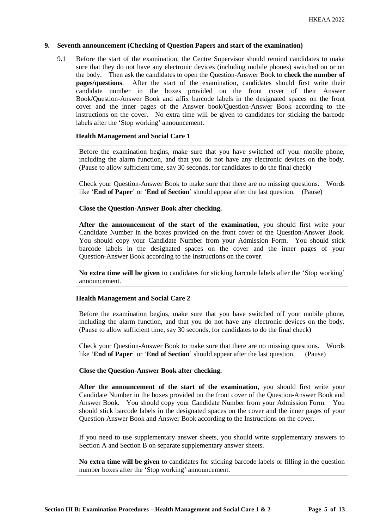# **9. Seventh announcement (Checking of Question Papers and start of the examination)**

9.1 Before the start of the examination, the Centre Supervisor should remind candidates to make sure that they do not have any electronic devices (including mobile phones) switched on or on the body. Then ask the candidates to open the Question-Answer Book to **check the number of pages/questions**. After the start of the examination, candidates should first write their candidate number in the boxes provided on the front cover of their Answer Book/Question-Answer Book and affix barcode labels in the designated spaces on the front cover and the inner pages of the Answer book/Question-Answer Book according to the instructions on the cover. No extra time will be given to candidates for sticking the barcode labels after the 'Stop working' announcement.

# **Health Management and Social Care 1**

Before the examination begins, make sure that you have switched off your mobile phone, including the alarm function, and that you do not have any electronic devices on the body. (Pause to allow sufficient time, say 30 seconds, for candidates to do the final check)

Check your Question-Answer Book to make sure that there are no missing questions. Words like '**End of Paper**' or '**End of Section**' should appear after the last question. (Pause)

# **Close the Question-Answer Book after checking.**

**After the announcement of the start of the examination**, you should first write your Candidate Number in the boxes provided on the front cover of the Question-Answer Book. You should copy your Candidate Number from your Admission Form. You should stick barcode labels in the designated spaces on the cover and the inner pages of your Question-Answer Book according to the Instructions on the cover.

**No extra time will be given** to candidates for sticking barcode labels after the 'Stop working' announcement.

# **Health Management and Social Care 2**

Before the examination begins, make sure that you have switched off your mobile phone, including the alarm function, and that you do not have any electronic devices on the body. (Pause to allow sufficient time, say 30 seconds, for candidates to do the final check)

Check your Question-Answer Book to make sure that there are no missing questions. Words like '**End of Paper**' or '**End of Section**' should appear after the last question. (Pause)

**Close the Question-Answer Book after checking.**

**After the announcement of the start of the examination**, you should first write your Candidate Number in the boxes provided on the front cover of the Question-Answer Book and Answer Book. You should copy your Candidate Number from your Admission Form. You should stick barcode labels in the designated spaces on the cover and the inner pages of your Question-Answer Book and Answer Book according to the Instructions on the cover.

If you need to use supplementary answer sheets, you should write supplementary answers to Section A and Section B on separate supplementary answer sheets.

**No extra time will be given** to candidates for sticking barcode labels or filling in the question number boxes after the 'Stop working' announcement.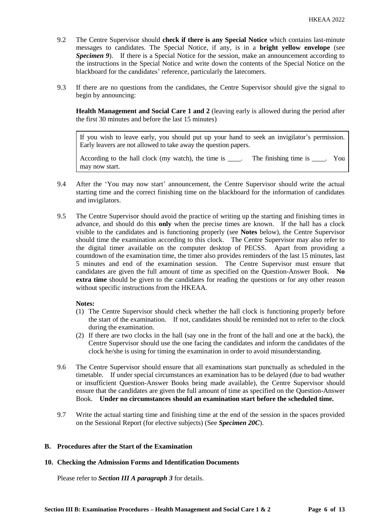- 9.2 The Centre Supervisor should **check if there is any Special Notice** which contains last-minute messages to candidates. The Special Notice, if any, is in a **bright yellow envelope** (see *Specimen 9*). If there is a Special Notice for the session, make an announcement according to the instructions in the Special Notice and write down the contents of the Special Notice on the blackboard for the candidates' reference, particularly the latecomers.
- 9.3 If there are no questions from the candidates, the Centre Supervisor should give the signal to begin by announcing:

**Health Management and Social Care 1 and 2** (leaving early is allowed during the period after the first 30 minutes and before the last 15 minutes)

If you wish to leave early, you should put up your hand to seek an invigilator's permission. Early leavers are not allowed to take away the question papers.

According to the hall clock (my watch), the time is  $\qquad$ . The finishing time is  $\qquad$ . You may now start.

- 9.4 After the 'You may now start' announcement, the Centre Supervisor should write the actual starting time and the correct finishing time on the blackboard for the information of candidates and invigilators.
- 9.5 The Centre Supervisor should avoid the practice of writing up the starting and finishing times in advance, and should do this **only** when the precise times are known. If the hall has a clock visible to the candidates and is functioning properly (see **Notes** below), the Centre Supervisor should time the examination according to this clock. The Centre Supervisor may also refer to the digital timer available on the computer desktop of PECSS. Apart from providing a countdown of the examination time, the timer also provides reminders of the last 15 minutes, last 5 minutes and end of the examination session. The Centre Supervisor must ensure that candidates are given the full amount of time as specified on the Question-Answer Book. **No extra time** should be given to the candidates for reading the questions or for any other reason without specific instructions from the HKEAA.

# **Notes:**

- (1) The Centre Supervisor should check whether the hall clock is functioning properly before the start of the examination. If not, candidates should be reminded not to refer to the clock during the examination.
- (2) If there are two clocks in the hall (say one in the front of the hall and one at the back), the Centre Supervisor should use the one facing the candidates and inform the candidates of the clock he/she is using for timing the examination in order to avoid misunderstanding.
- 9.6 The Centre Supervisor should ensure that all examinations start punctually as scheduled in the timetable. If under special circumstances an examination has to be delayed (due to bad weather or insufficient Question-Answer Books being made available), the Centre Supervisor should ensure that the candidates are given the full amount of time as specified on the Question-Answer Book. **Under no circumstances should an examination start before the scheduled time.**
- 9.7 Write the actual starting time and finishing time at the end of the session in the spaces provided on the Sessional Report (for elective subjects) (See *Specimen 20C*).

# **B. Procedures after the Start of the Examination**

#### **10. Checking the Admission Forms and Identification Documents**

Please refer to *Section III A paragraph 3* for details.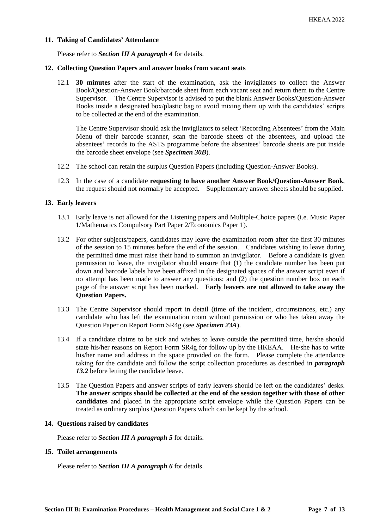### **11. Taking of Candidates' Attendance**

Please refer to *Section III A paragraph 4* for details.

### **12. Collecting Question Papers and answer books from vacant seats**

12.1 **30 minutes** after the start of the examination, ask the invigilators to collect the Answer Book/Question-Answer Book/barcode sheet from each vacant seat and return them to the Centre Supervisor. The Centre Supervisor is advised to put the blank Answer Books/Question-Answer Books inside a designated box/plastic bag to avoid mixing them up with the candidates' scripts to be collected at the end of the examination.

The Centre Supervisor should ask the invigilators to select 'Recording Absentees' from the Main Menu of their barcode scanner, scan the barcode sheets of the absentees, and upload the absentees' records to the ASTS programme before the absentees' barcode sheets are put inside the barcode sheet envelope (see *Specimen 30B*).

- 12.2 The school can retain the surplus Question Papers (including Question-Answer Books).
- 12.3 In the case of a candidate **requesting to have another Answer Book/Question-Answer Book**, the request should not normally be accepted. Supplementary answer sheets should be supplied.

### **13. Early leavers**

- 13.1 Early leave is not allowed for the Listening papers and Multiple-Choice papers (i.e. Music Paper 1/Mathematics Compulsory Part Paper 2/Economics Paper 1).
- 13.2 For other subjects/papers, candidates may leave the examination room after the first 30 minutes of the session to 15 minutes before the end of the session. Candidates wishing to leave during the permitted time must raise their hand to summon an invigilator. Before a candidate is given permission to leave, the invigilator should ensure that (1) the candidate number has been put down and barcode labels have been affixed in the designated spaces of the answer script even if no attempt has been made to answer any questions; and (2) the question number box on each page of the answer script has been marked. **Early leavers are not allowed to take away the Question Papers.**
- 13.3 The Centre Supervisor should report in detail (time of the incident, circumstances, etc.) any candidate who has left the examination room without permission or who has taken away the Question Paper on Report Form SR4g (see *Specimen 23A*).
- 13.4 If a candidate claims to be sick and wishes to leave outside the permitted time, he/she should state his/her reasons on Report Form SR4g for follow up by the HKEAA. He/she has to write his/her name and address in the space provided on the form. Please complete the attendance taking for the candidate and follow the script collection procedures as described in *paragraph 13.2* before letting the candidate leave.
- 13.5 The Question Papers and answer scripts of early leavers should be left on the candidates' desks. **The answer scripts should be collected at the end of the session together with those of other candidates** and placed in the appropriate script envelope while the Question Papers can be treated as ordinary surplus Question Papers which can be kept by the school.

### **14. Questions raised by candidates**

Please refer to *Section III A paragraph 5* for details.

#### **15. Toilet arrangements**

Please refer to *Section III A paragraph 6* for details.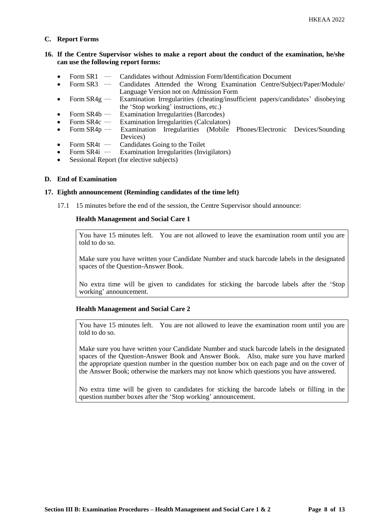### **C. Report Forms**

# **16. If the Centre Supervisor wishes to make a report about the conduct of the examination, he/she can use the following report forms:**

- Form SR1 Candidates without Admission Form/Identification Document
- Form SR3 ― Candidates Attended the Wrong Examination Centre/Subject/Paper/Module/ Language Version not on Admission Form
- Form SR4g Examination Irregularities (cheating/insufficient papers/candidates' disobeying the 'Stop working' instructions, etc.)
- Form SR4b ― Examination Irregularities (Barcodes)
- Form SR4c Examination Irregularities (Calculators)<br>Form SR4p Examination Irregularities (Mobile
- Form  $SR4p$  Examination Irregularities (Mobile Phones/Electronic Devices/Sounding Devices)
- Form SR4t Candidates Going to the Toilet<br>• Form SR4i Examination Irregularities (Invi
- Examination Irregularities (Invigilators)
- Sessional Report (for elective subjects)

### **D. End of Examination**

#### **17. Eighth announcement (Reminding candidates of the time left)**

17.1 15 minutes before the end of the session, the Centre Supervisor should announce:

### **Health Management and Social Care 1**

You have 15 minutes left. You are not allowed to leave the examination room until you are told to do so.

Make sure you have written your Candidate Number and stuck barcode labels in the designated spaces of the Question-Answer Book.

No extra time will be given to candidates for sticking the barcode labels after the 'Stop working' announcement.

#### **Health Management and Social Care 2**

You have 15 minutes left. You are not allowed to leave the examination room until you are told to do so.

Make sure you have written your Candidate Number and stuck barcode labels in the designated spaces of the Question-Answer Book and Answer Book. Also, make sure you have marked the appropriate question number in the question number box on each page and on the cover of the Answer Book; otherwise the markers may not know which questions you have answered.

No extra time will be given to candidates for sticking the barcode labels or filling in the question number boxes after the 'Stop working' announcement.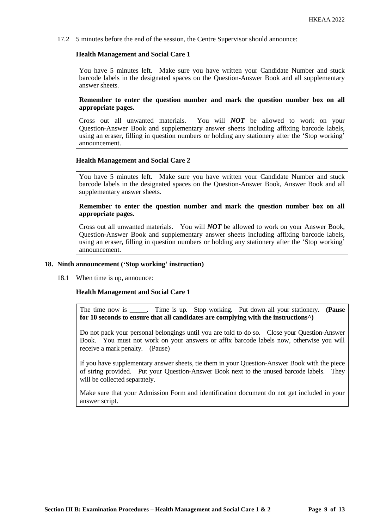17.2 5 minutes before the end of the session, the Centre Supervisor should announce:

# **Health Management and Social Care 1**

You have 5 minutes left. Make sure you have written your Candidate Number and stuck barcode labels in the designated spaces on the Question-Answer Book and all supplementary answer sheets.

**Remember to enter the question number and mark the question number box on all appropriate pages.** 

Cross out all unwanted materials. You will *NOT* be allowed to work on your Question-Answer Book and supplementary answer sheets including affixing barcode labels, using an eraser, filling in question numbers or holding any stationery after the 'Stop working' announcement.

### **Health Management and Social Care 2**

You have 5 minutes left. Make sure you have written your Candidate Number and stuck barcode labels in the designated spaces on the Question-Answer Book, Answer Book and all supplementary answer sheets.

### **Remember to enter the question number and mark the question number box on all appropriate pages.**

Cross out all unwanted materials. You will *NOT* be allowed to work on your Answer Book, Question-Answer Book and supplementary answer sheets including affixing barcode labels, using an eraser, filling in question numbers or holding any stationery after the 'Stop working' announcement.

#### **18. Ninth announcement ('Stop working' instruction)**

18.1 When time is up, announce:

#### **Health Management and Social Care 1**

The time now is \_\_\_\_\_. Time is up. Stop working. Put down all your stationery. **(Pause for 10 seconds to ensure that all candidates are complying with the instructions^)**

Do not pack your personal belongings until you are told to do so. Close your Question-Answer Book. You must not work on your answers or affix barcode labels now, otherwise you will receive a mark penalty. (Pause)

If you have supplementary answer sheets, tie them in your Question-Answer Book with the piece of string provided. Put your Question-Answer Book next to the unused barcode labels. They will be collected separately.

Make sure that your Admission Form and identification document do not get included in your answer script.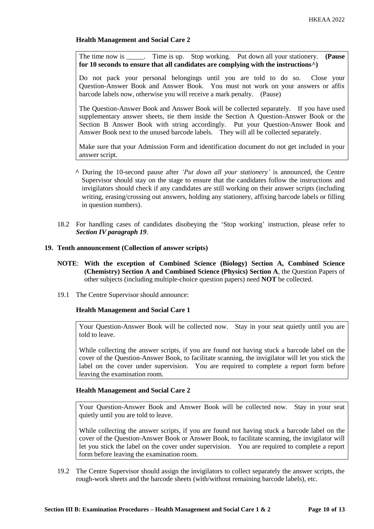# **Health Management and Social Care 2**

The time now is \_\_\_\_\_. Time is up. Stop working. Put down all your stationery. **(Pause for 10 seconds to ensure that all candidates are complying with the instructions^)**

Do not pack your personal belongings until you are told to do so. Close your Question-Answer Book and Answer Book. You must not work on your answers or affix barcode labels now, otherwise you will receive a mark penalty. (Pause)

The Question-Answer Book and Answer Book will be collected separately. If you have used supplementary answer sheets, tie them inside the Section A Question-Answer Book or the Section B Answer Book with string accordingly. Put your Question-Answer Book and Answer Book next to the unused barcode labels. They will all be collected separately.

Make sure that your Admission Form and identification document do not get included in your answer script.

- **^** During the 10-second pause after *'Put down all your stationery'* is announced, the Centre Supervisor should stay on the stage to ensure that the candidates follow the instructions and invigilators should check if any candidates are still working on their answer scripts (including writing, erasing/crossing out answers, holding any stationery, affixing barcode labels or filling in question numbers).
- 18.2 For handling cases of candidates disobeying the 'Stop working' instruction, please refer to *Section IV paragraph 19*.

#### **19. Tenth announcement (Collection of answer scripts)**

- **NOTE**: **With the exception of Combined Science (Biology) Section A, Combined Science (Chemistry) Section A and Combined Science (Physics) Section A**, the Question Papers of other subjects (including multiple-choice question papers) need **NOT** be collected.
- 19.1 The Centre Supervisor should announce:

#### **Health Management and Social Care 1**

Your Question-Answer Book will be collected now. Stay in your seat quietly until you are told to leave.

While collecting the answer scripts, if you are found not having stuck a barcode label on the cover of the Question-Answer Book, to facilitate scanning, the invigilator will let you stick the label on the cover under supervision. You are required to complete a report form before leaving the examination room.

### **Health Management and Social Care 2**

Your Question-Answer Book and Answer Book will be collected now. Stay in your seat quietly until you are told to leave.

While collecting the answer scripts, if you are found not having stuck a barcode label on the cover of the Question-Answer Book or Answer Book, to facilitate scanning, the invigilator will let you stick the label on the cover under supervision. You are required to complete a report form before leaving the examination room.

19.2 The Centre Supervisor should assign the invigilators to collect separately the answer scripts, the rough-work sheets and the barcode sheets (with/without remaining barcode labels), etc.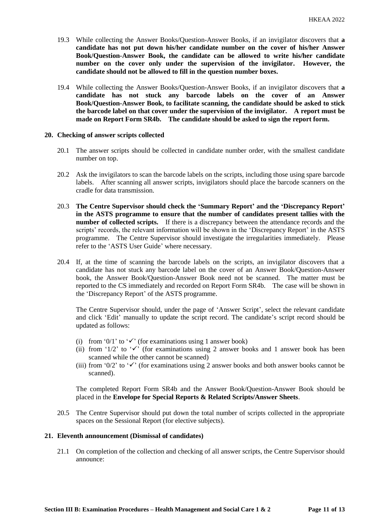- 19.3 While collecting the Answer Books/Question-Answer Books, if an invigilator discovers that **a candidate has not put down his/her candidate number on the cover of his/her Answer Book/Question-Answer Book, the candidate can be allowed to write his/her candidate number on the cover only under the supervision of the invigilator. However, the candidate should not be allowed to fill in the question number boxes.**
- 19.4 While collecting the Answer Books/Question-Answer Books, if an invigilator discovers that **a candidate has not stuck any barcode labels on the cover of an Answer Book/Question-Answer Book, to facilitate scanning, the candidate should be asked to stick the barcode label on that cover under the supervision of the invigilator. A report must be made on Report Form SR4b. The candidate should be asked to sign the report form.**

#### **20. Checking of answer scripts collected**

- 20.1 The answer scripts should be collected in candidate number order, with the smallest candidate number on top.
- 20.2 Ask the invigilators to scan the barcode labels on the scripts, including those using spare barcode labels. After scanning all answer scripts, invigilators should place the barcode scanners on the cradle for data transmission.
- 20.3 **The Centre Supervisor should check the 'Summary Report' and the 'Discrepancy Report' in the ASTS programme to ensure that the number of candidates present tallies with the number of collected scripts.** If there is a discrepancy between the attendance records and the scripts' records, the relevant information will be shown in the 'Discrepancy Report' in the ASTS programme. The Centre Supervisor should investigate the irregularities immediately. Please refer to the 'ASTS User Guide' where necessary.
- 20.4 If, at the time of scanning the barcode labels on the scripts, an invigilator discovers that a candidate has not stuck any barcode label on the cover of an Answer Book/Question-Answer book, the Answer Book/Question-Answer Book need not be scanned. The matter must be reported to the CS immediately and recorded on Report Form SR4b. The case will be shown in the 'Discrepancy Report' of the ASTS programme.

The Centre Supervisor should, under the page of 'Answer Script', select the relevant candidate and click 'Edit' manually to update the script record. The candidate's script record should be updated as follows:

- (i) from '0/1' to ' $\checkmark$ ' (for examinations using 1 answer book)
- (ii) from '1/2' to ' $\checkmark$ ' (for examinations using 2 answer books and 1 answer book has been scanned while the other cannot be scanned)
- (iii) from '0/2' to ' $\checkmark$ ' (for examinations using 2 answer books and both answer books cannot be scanned).

The completed Report Form SR4b and the Answer Book/Question-Answer Book should be placed in the **Envelope for Special Reports & Related Scripts/Answer Sheets**.

20.5 The Centre Supervisor should put down the total number of scripts collected in the appropriate spaces on the Sessional Report (for elective subjects).

### **21. Eleventh announcement (Dismissal of candidates)**

21.1 On completion of the collection and checking of all answer scripts, the Centre Supervisor should announce: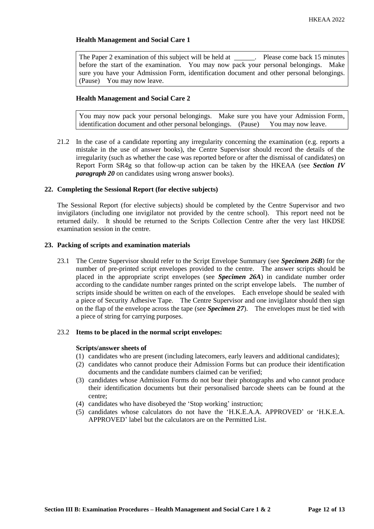# **Health Management and Social Care 1**

The Paper 2 examination of this subject will be held at \_\_\_\_\_\_. Please come back 15 minutes before the start of the examination. You may now pack your personal belongings. Make sure you have your Admission Form, identification document and other personal belongings. (Pause) You may now leave.

# **Health Management and Social Care 2**

You may now pack your personal belongings. Make sure you have your Admission Form, identification document and other personal belongings. (Pause) You may now leave.

21.2 In the case of a candidate reporting any irregularity concerning the examination (e.g. reports a mistake in the use of answer books), the Centre Supervisor should record the details of the irregularity (such as whether the case was reported before or after the dismissal of candidates) on Report Form SR4g so that follow-up action can be taken by the HKEAA (see *Section IV paragraph 20* on candidates using wrong answer books).

# **22. Completing the Sessional Report (for elective subjects)**

The Sessional Report (for elective subjects) should be completed by the Centre Supervisor and two invigilators (including one invigilator not provided by the centre school). This report need not be returned daily. It should be returned to the Scripts Collection Centre after the very last HKDSE examination session in the centre.

# **23. Packing of scripts and examination materials**

23.1 The Centre Supervisor should refer to the Script Envelope Summary (see *Specimen 26B*) for the number of pre-printed script envelopes provided to the centre. The answer scripts should be placed in the appropriate script envelopes (see *Specimen 26A*) in candidate number order according to the candidate number ranges printed on the script envelope labels. The number of scripts inside should be written on each of the envelopes. Each envelope should be sealed with a piece of Security Adhesive Tape. The Centre Supervisor and one invigilator should then sign on the flap of the envelope across the tape (see *Specimen 27*). The envelopes must be tied with a piece of string for carrying purposes.

# 23.2 **Items to be placed in the normal script envelopes:**

# **Scripts/answer sheets of**

- (1) candidates who are present (including latecomers, early leavers and additional candidates);
- (2) candidates who cannot produce their Admission Forms but can produce their identification documents and the candidate numbers claimed can be verified;
- (3) candidates whose Admission Forms do not bear their photographs and who cannot produce their identification documents but their personalised barcode sheets can be found at the centre;
- (4) candidates who have disobeyed the 'Stop working' instruction;
- (5) candidates whose calculators do not have the 'H.K.E.A.A. APPROVED' or 'H.K.E.A. APPROVED' label but the calculators are on the Permitted List.